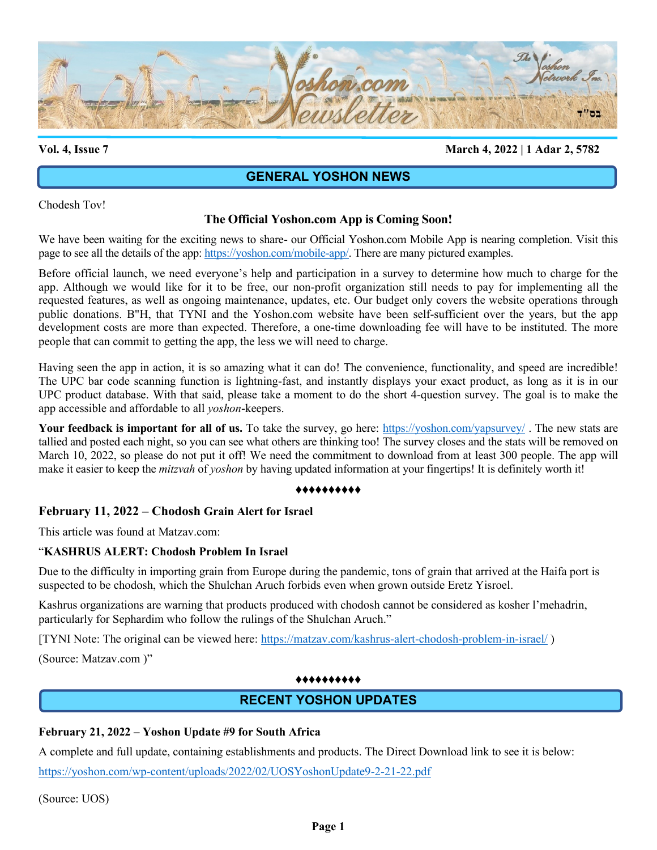

**Vol. 4, Issue 7 March 4, 2022 | 1 Adar 2, 5782**

# **GENERAL YOSHON NEWS**

Chodesh Tov!

# **The Official Yoshon.com App is Coming Soon!**

We have been waiting for the exciting news to share- our Official Yoshon.com Mobile App is nearing completion. Visit this page to see all the details of the app: [https://yoshon.com/mobile-app/.](https://yoshon.com/mobile-app/) There are many pictured examples.

Before official launch, we need everyone's help and participation in a survey to determine how much to charge for the app. Although we would like for it to be free, our non-profit organization still needs to pay for implementing all the requested features, as well as ongoing maintenance, updates, etc. Our budget only covers the website operations through public donations. B"H, that TYNI and the Yoshon.com website have been self-sufficient over the years, but the app development costs are more than expected. Therefore, a one-time downloading fee will have to be instituted. The more people that can commit to getting the app, the less we will need to charge.

Having seen the app in action, it is so amazing what it can do! The convenience, functionality, and speed are incredible! The UPC bar code scanning function is lightning-fast, and instantly displays your exact product, as long as it is in our UPC product database. With that said, please take a moment to do the short 4-question survey. The goal is to make the app accessible and affordable to all *yoshon*-keepers.

Your feedback is important for all of us. To take the survey, go here:<https://yoshon.com/yapsurvey/>. The new stats are tallied and posted each night, so you can see what others are thinking too! The survey closes and the stats will be removed on March 10, 2022, so please do not put it off! We need the commitment to download from at least 300 people. The app will make it easier to keep the *mitzvah* of *yoshon* by having updated information at your fingertips! It is definitely worth it!

#### ♦♦♦♦♦♦♦♦♦♦

# **February 11, 2022 – Chodosh Grain Alert for Israel**

This article was found at Matzav.com:

## "**KASHRUS ALERT: Chodosh Problem In Israel**

Due to the difficulty in importing grain from Europe during the pandemic, tons of grain that arrived at the Haifa port is suspected to be chodosh, which the Shulchan Aruch forbids even when grown outside Eretz Yisroel.

Kashrus organizations are warning that products produced with chodosh cannot be considered as kosher l'mehadrin, particularly for Sephardim who follow the rulings of the Shulchan Aruch."

[TYNI Note: The original can be viewed here:<https://matzav.com/kashrus-alert-chodosh-problem-in-israel/> )

(Source: Matzav.com )"

## ♦♦♦♦♦♦♦♦♦♦

# **RECENT YOSHON UPDATES**

## **February 21, 2022 – Yoshon Update #9 for South Africa**

A complete and full update, containing establishments and products. The Direct Download link to see it is below:

<https://yoshon.com/wp-content/uploads/2022/02/UOSYoshonUpdate9-2-21-22.pdf>

(Source: UOS)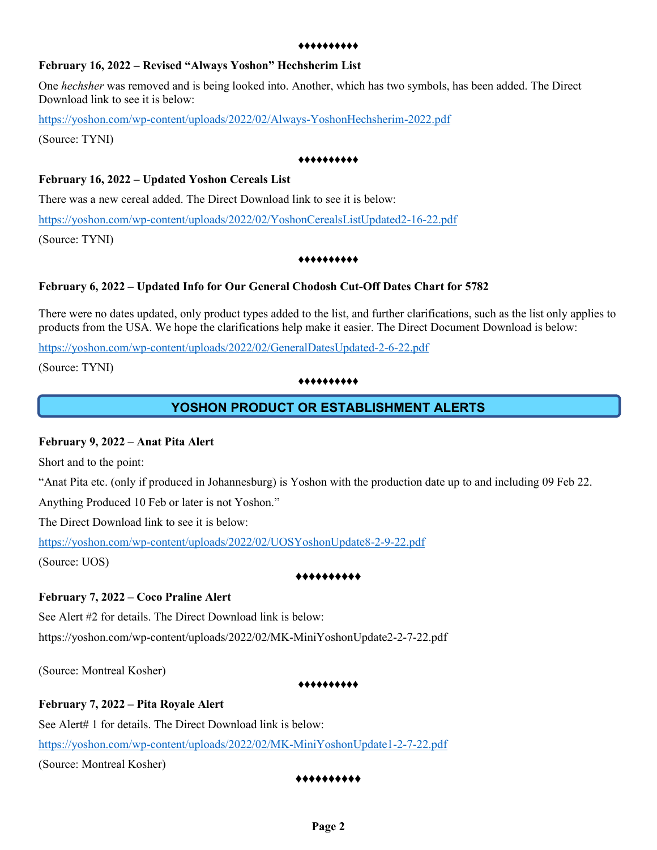#### ♦♦♦♦♦♦♦♦♦♦

## **February 16, 2022 – Revised "Always Yoshon" Hechsherim List**

One *hechsher* was removed and is being looked into. Another, which has two symbols, has been added. The Direct Download link to see it is below:

<https://yoshon.com/wp-content/uploads/2022/02/Always-YoshonHechsherim-2022.pdf>

(Source: TYNI)

#### ♦♦♦♦♦♦♦♦♦♦

## **February 16, 2022 – Updated Yoshon Cereals List**

There was a new cereal added. The Direct Download link to see it is below:

<https://yoshon.com/wp-content/uploads/2022/02/YoshonCerealsListUpdated2-16-22.pdf> (Source: TYNI)

#### ♦♦♦♦♦♦♦♦♦♦

## **February 6, 2022 – Updated Info for Our General Chodosh Cut-Off Dates Chart for 5782**

There were no dates updated, only product types added to the list, and further clarifications, such as the list only applies to products from the USA. We hope the clarifications help make it easier. The Direct Document Download is below:

<https://yoshon.com/wp-content/uploads/2022/02/GeneralDatesUpdated-2-6-22.pdf>

(Source: TYNI)

#### ♦♦♦♦♦♦♦♦♦♦

# **YOSHON PRODUCT OR ESTABLISHMENT ALERTS**

## **February 9, 2022 – Anat Pita Alert**

Short and to the point:

"Anat Pita etc. (only if produced in Johannesburg) is Yoshon with the production date up to and including 09 Feb 22.

Anything Produced 10 Feb or later is not Yoshon."

The Direct Download link to see it is below:

<https://yoshon.com/wp-content/uploads/2022/02/UOSYoshonUpdate8-2-9-22.pdf> (Source: UOS)

#### ♦♦♦♦♦♦♦♦♦♦

# **February 7, 2022 – Coco Praline Alert**

See Alert #2 for details. The Direct Download link is below: https://yoshon.com/wp-content/uploads/2022/02/MK-MiniYoshonUpdate2-2-7-22.pdf

(Source: Montreal Kosher)

#### ♦♦♦♦♦♦♦♦♦♦

# **February 7, 2022 – Pita Royale Alert**

See Alert# 1 for details. The Direct Download link is below: <https://yoshon.com/wp-content/uploads/2022/02/MK-MiniYoshonUpdate1-2-7-22.pdf> (Source: Montreal Kosher)

#### ♦♦♦♦♦♦♦♦♦♦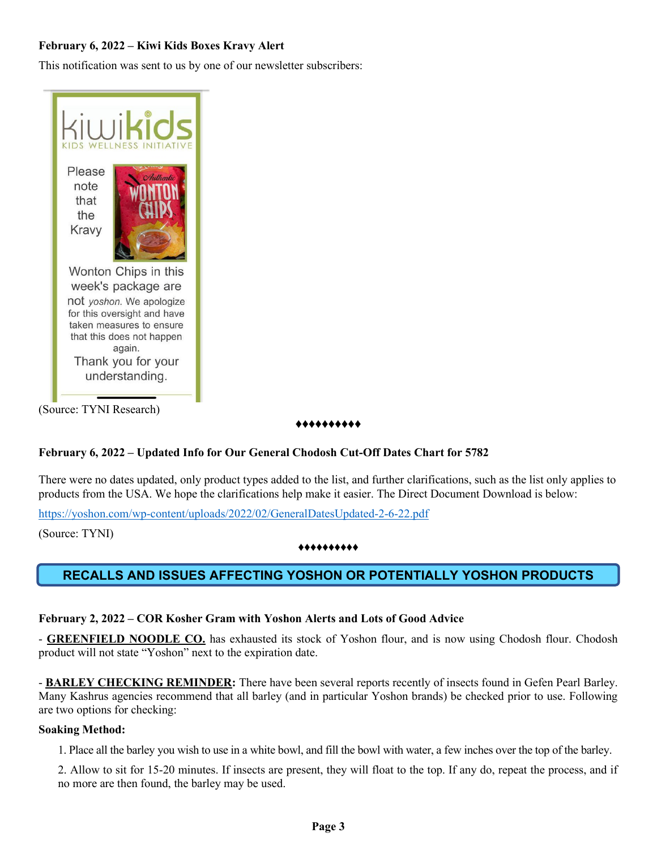# **February 6, 2022 – Kiwi Kids Boxes Kravy Alert**

This notification was sent to us by one of our newsletter subscribers:



(Source: TYNI Research)

### ♦♦♦♦♦♦♦♦♦♦

# **February 6, 2022 – Updated Info for Our General Chodosh Cut-Off Dates Chart for 5782**

There were no dates updated, only product types added to the list, and further clarifications, such as the list only applies to products from the USA. We hope the clarifications help make it easier. The Direct Document Download is below:

<https://yoshon.com/wp-content/uploads/2022/02/GeneralDatesUpdated-2-6-22.pdf>

(Source: TYNI)

### ♦♦♦♦♦♦♦♦♦♦

# **RECALLS AND ISSUES AFFECTING YOSHON OR POTENTIALLY YOSHON PRODUCTS**

## **February 2, 2022 – COR Kosher Gram with Yoshon Alerts and Lots of Good Advice**

- **GREENFIELD NOODLE CO.** has exhausted its stock of Yoshon flour, and is now using Chodosh flour. Chodosh product will not state "Yoshon" next to the expiration date.

- **BARLEY CHECKING REMINDER:** There have been several reports recently of insects found in Gefen Pearl Barley. Many Kashrus agencies recommend that all barley (and in particular Yoshon brands) be checked prior to use. Following are two options for checking:

## **Soaking Method:**

1. Place all the barley you wish to use in a white bowl, and fill the bowl with water, a few inches over the top of the barley.

2. Allow to sit for 15-20 minutes. If insects are present, they will float to the top. If any do, repeat the process, and if no more are then found, the barley may be used.